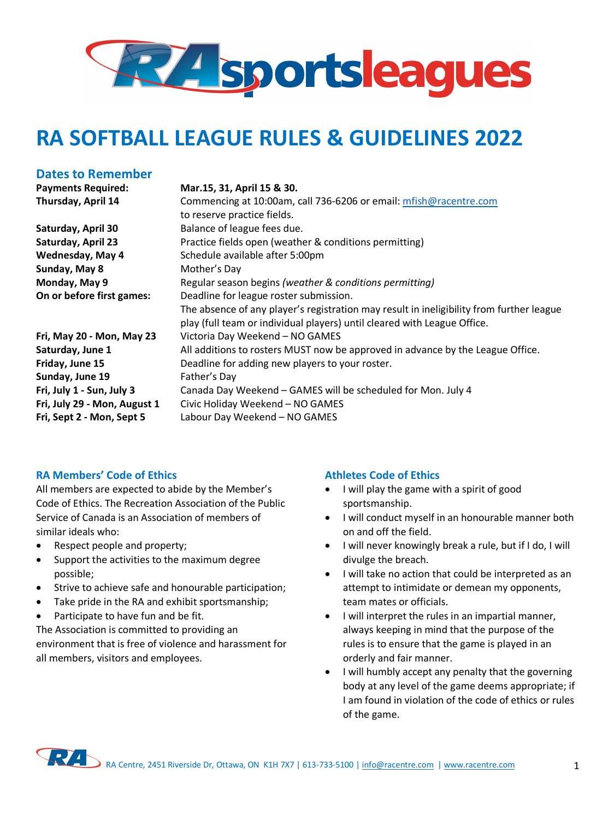

# **RA SOFTBALL LEAGUE RULES & GUIDELINES 2022**

### **Dates to Remember**

**Sunday, May 8 Mother's Day** 

**Sunday, June 19** Father's Day

#### **Payments Required: Mar.15, 31, April 15 & 30.**

**Thursday, April 14** Commencing at 10:00am, call 736-6206 or email: mfish@racentre.com to reserve practice fields. **Saturday, April 30** Balance of league fees due. **Saturday, April 23** Practice fields open (weather & conditions permitting) **Wednesday, May 4** Schedule available after 5:00pm **Monday, May 9** Regular season begins *(weather & conditions permitting)* **On or before first games:** Deadline for league roster submission. The absence of any player's registration may result in ineligibility from further league play (full team or individual players) until cleared with League Office. **Fri, May 20 - Mon, May 23** Victoria Day Weekend – NO GAMES **Saturday, June 1** All additions to rosters MUST now be approved in advance by the League Office. **Friday, June 15** Deadline for adding new players to your roster. **Fri, July 1 - Sun, July 3** Canada Day Weekend – GAMES will be scheduled for Mon. July 4 **Fri, July 29 - Mon, August 1** Civic Holiday Weekend – NO GAMES **Fri, Sept 2 - Mon, Sept 5** Labour Day Weekend – NO GAMES

#### **RA Members' Code of Ethics**

All members are expected to abide by the Member's Code of Ethics. The Recreation Association of the Public Service of Canada is an Association of members of similar ideals who:

- Respect people and property;
- Support the activities to the maximum degree possible;
- Strive to achieve safe and honourable participation;
- Take pride in the RA and exhibit sportsmanship;
- Participate to have fun and be fit.

The Association is committed to providing an environment that is free of violence and harassment for all members, visitors and employees.

#### **Athletes Code of Ethics**

- I will play the game with a spirit of good sportsmanship.
- I will conduct myself in an honourable manner both on and off the field.
- I will never knowingly break a rule, but if I do, I will divulge the breach.
- I will take no action that could be interpreted as an attempt to intimidate or demean my opponents, team mates or officials.
- I will interpret the rules in an impartial manner, always keeping in mind that the purpose of the rules is to ensure that the game is played in an orderly and fair manner.
- I will humbly accept any penalty that the governing body at any level of the game deems appropriate; if I am found in violation of the code of ethics or rules of the game.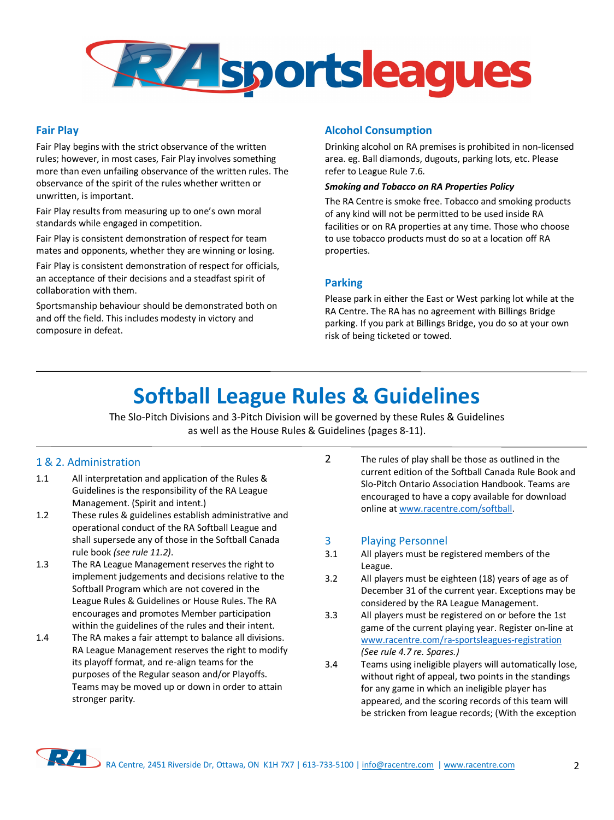

#### **Fair Play**

Fair Play begins with the strict observance of the written rules; however, in most cases, Fair Play involves something more than even unfailing observance of the written rules. The observance of the spirit of the rules whether written or unwritten, is important.

Fair Play results from measuring up to one's own moral standards while engaged in competition.

Fair Play is consistent demonstration of respect for team mates and opponents, whether they are winning or losing.

Fair Play is consistent demonstration of respect for officials, an acceptance of their decisions and a steadfast spirit of collaboration with them.

Sportsmanship behaviour should be demonstrated both on and off the field. This includes modesty in victory and composure in defeat.

#### **Alcohol Consumption**

Drinking alcohol on RA premises is prohibited in non-licensed area. eg. Ball diamonds, dugouts, parking lots, etc. Please refer to League Rule 7.6.

#### *Smoking and Tobacco on RA Properties Policy*

The RA Centre is smoke free. Tobacco and smoking products of any kind will not be permitted to be used inside RA facilities or on RA properties at any time. Those who choose to use tobacco products must do so at a location off RA properties.

#### **Parking**

Please park in either the East or West parking lot while at the RA Centre. The RA has no agreement with Billings Bridge parking. If you park at Billings Bridge, you do so at your own risk of being ticketed or towed.

# **Softball League Rules & Guidelines**

The Slo-Pitch Divisions and 3-Pitch Division will be governed by these Rules & Guidelines as well as the House Rules & Guidelines (pages 8-11).

#### 1 & 2. Administration

- 1.1 All interpretation and application of the Rules & Guidelines is the responsibility of the RA League Management. (Spirit and intent.)
- 1.2 These rules & guidelines establish administrative and operational conduct of the RA Softball League and shall supersede any of those in the Softball Canada rule book *(see rule 11.2)*.
- 1.3 The RA League Management reserves the right to implement judgements and decisions relative to the Softball Program which are not covered in the League Rules & Guidelines or House Rules. The RA encourages and promotes Member participation within the guidelines of the rules and their intent.
- 1.4 The RA makes a fair attempt to balance all divisions. RA League Management reserves the right to modify its playoff format, and re-align teams for the purposes of the Regular season and/or Playoffs. Teams may be moved up or down in order to attain stronger parity.

2 The rules of play shall be those as outlined in the current edition of the Softball Canada Rule Book and Slo-Pitch Ontario Association Handbook. Teams are encouraged to have a copy available for download online at www.racentre.com/softball.

#### 3 Playing Personnel

- 3.1 All players must be registered members of the League.
- 3.2 All players must be eighteen (18) years of age as of December 31 of the current year. Exceptions may be considered by the RA League Management.
- 3.3 All players must be registered on or before the 1st game of the current playing year. Register on-line at www.racentre.com/ra-sportsleagues-registration *(See rule 4.7 re. Spares.)*
- 3.4 Teams using ineligible players will automatically lose, without right of appeal, two points in the standings for any game in which an ineligible player has appeared, and the scoring records of this team will be stricken from league records; (With the exception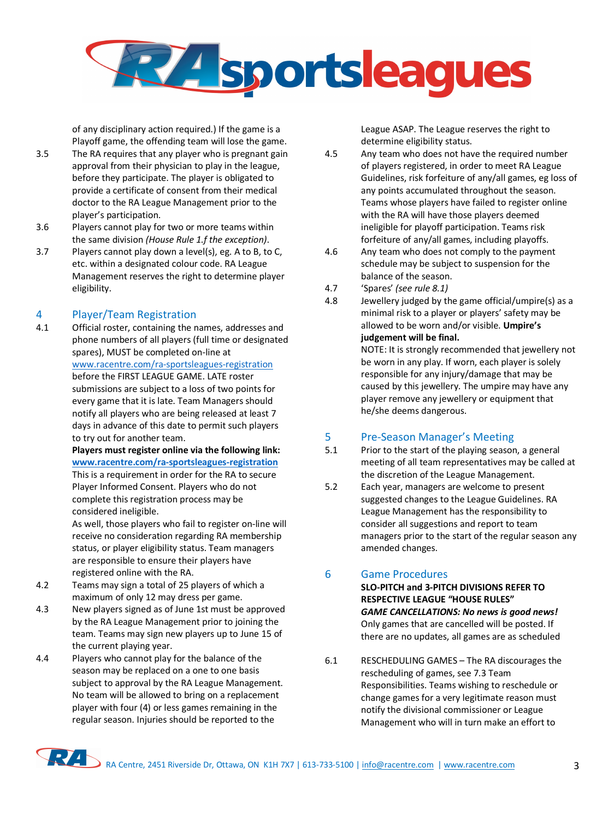

of any disciplinary action required.) If the game is a Playoff game, the offending team will lose the game.

- 3.5 The RA requires that any player who is pregnant gain approval from their physician to play in the league, before they participate. The player is obligated to provide a certificate of consent from their medical doctor to the RA League Management prior to the player's participation.
- 3.6 Players cannot play for two or more teams within the same division *(House Rule 1.f the exception)*.
- 3.7 Players cannot play down a level(s), eg. A to B, to C, etc. within a designated colour code. RA League Management reserves the right to determine player eligibility.

#### 4 Player/Team Registration

4.1 Official roster, containing the names, addresses and phone numbers of all players (full time or designated spares), MUST be completed on-line at www.racentre.com/ra-sportsleagues-registration before the FIRST LEAGUE GAME. LATE roster submissions are subject to a loss of two points for every game that it is late. Team Managers should notify all players who are being released at least 7 days in advance of this date to permit such players to try out for another team. **Players must register online via the following link:** 

**www.racentre.com/ra-sportsleagues-registration** This is a requirement in order for the RA to secure Player Informed Consent. Players who do not complete this registration process may be considered ineligible.

As well, those players who fail to register on-line will receive no consideration regarding RA membership status, or player eligibility status. Team managers are responsible to ensure their players have registered online with the RA.

- 4.2 Teams may sign a total of 25 players of which a maximum of only 12 may dress per game.
- 4.3 New players signed as of June 1st must be approved by the RA League Management prior to joining the team. Teams may sign new players up to June 15 of the current playing year.
- 4.4 Players who cannot play for the balance of the season may be replaced on a one to one basis subject to approval by the RA League Management. No team will be allowed to bring on a replacement player with four (4) or less games remaining in the regular season. Injuries should be reported to the

League ASAP. The League reserves the right to determine eligibility status.

4.5 Any team who does not have the required number of players registered, in order to meet RA League Guidelines, risk forfeiture of any/all games, eg loss of any points accumulated throughout the season. Teams whose players have failed to register online with the RA will have those players deemed ineligible for playoff participation. Teams risk forfeiture of any/all games, including playoffs.

- 4.6 Any team who does not comply to the payment schedule may be subject to suspension for the balance of the season.
- 4.7 'Spares' *(see rule 8.1)*
- 4.8 Jewellery judged by the game official/umpire(s) as a minimal risk to a player or players' safety may be allowed to be worn and/or visible. **Umpire's judgement will be final.**

NOTE: It is strongly recommended that jewellery not be worn in any play. If worn, each player is solely responsible for any injury/damage that may be caused by this jewellery. The umpire may have any player remove any jewellery or equipment that he/she deems dangerous.

### 5 Pre-Season Manager's Meeting

- 5.1 Prior to the start of the playing season, a general meeting of all team representatives may be called at the discretion of the League Management.
- 5.2 Each year, managers are welcome to present suggested changes to the League Guidelines. RA League Management has the responsibility to consider all suggestions and report to team managers prior to the start of the regular season any amended changes.

#### 6 Game Procedures

**SLO-PITCH and 3-PITCH DIVISIONS REFER TO RESPECTIVE LEAGUE "HOUSE RULES"** *GAME CANCELLATIONS: No news is good news!*  Only games that are cancelled will be posted. If there are no updates, all games are as scheduled

6.1 RESCHEDULING GAMES – The RA discourages the rescheduling of games, see 7.3 Team Responsibilities. Teams wishing to reschedule or change games for a very legitimate reason must notify the divisional commissioner or League Management who will in turn make an effort to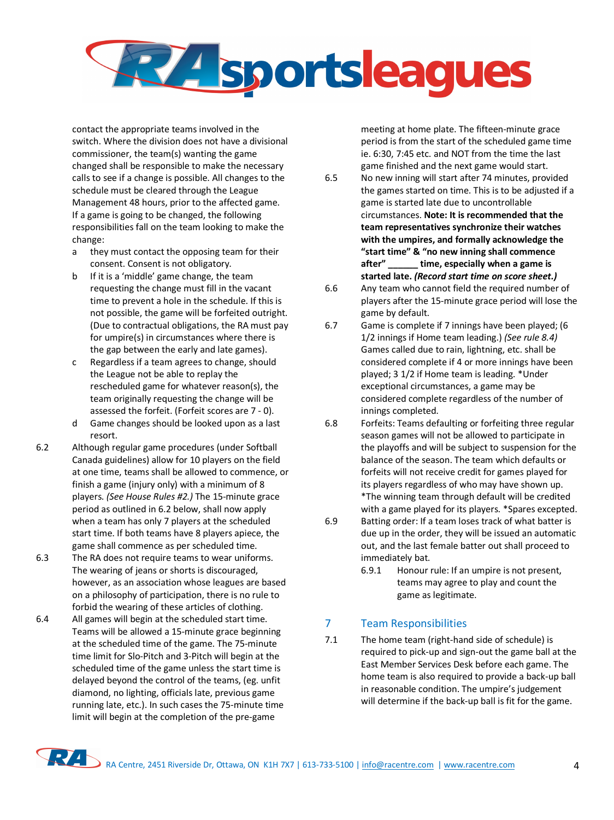

contact the appropriate teams involved in the switch. Where the division does not have a divisional commissioner, the team(s) wanting the game changed shall be responsible to make the necessary calls to see if a change is possible. All changes to the schedule must be cleared through the League Management 48 hours, prior to the affected game. If a game is going to be changed, the following responsibilities fall on the team looking to make the change:

- a they must contact the opposing team for their consent. Consent is not obligatory.
- b If it is a 'middle' game change, the team requesting the change must fill in the vacant time to prevent a hole in the schedule. If this is not possible, the game will be forfeited outright. (Due to contractual obligations, the RA must pay for umpire(s) in circumstances where there is the gap between the early and late games).
- c Regardless if a team agrees to change, should the League not be able to replay the rescheduled game for whatever reason(s), the team originally requesting the change will be assessed the forfeit. (Forfeit scores are 7 - 0).
- d Game changes should be looked upon as a last resort.
- 6.2 Although regular game procedures (under Softball Canada guidelines) allow for 10 players on the field at one time, teams shall be allowed to commence, or finish a game (injury only) with a minimum of 8 players. *(See House Rules #2.)* The 15-minute grace period as outlined in 6.2 below, shall now apply when a team has only 7 players at the scheduled start time. If both teams have 8 players apiece, the game shall commence as per scheduled time.
- 6.3 The RA does not require teams to wear uniforms. The wearing of jeans or shorts is discouraged, however, as an association whose leagues are based on a philosophy of participation, there is no rule to forbid the wearing of these articles of clothing.
- 6.4 All games will begin at the scheduled start time. Teams will be allowed a 15-minute grace beginning at the scheduled time of the game. The 75-minute time limit for Slo-Pitch and 3-Pitch will begin at the scheduled time of the game unless the start time is delayed beyond the control of the teams, (eg. unfit diamond, no lighting, officials late, previous game running late, etc.). In such cases the 75-minute time limit will begin at the completion of the pre-game

meeting at home plate. The fifteen-minute grace period is from the start of the scheduled game time ie. 6:30, 7:45 etc. and NOT from the time the last game finished and the next game would start.

- 6.5 No new inning will start after 74 minutes, provided the games started on time. This is to be adjusted if a game is started late due to uncontrollable circumstances. **Note: It is recommended that the team representatives synchronize their watches with the umpires, and formally acknowledge the "start time" & "no new inning shall commence after" \_\_\_\_\_\_ time, especially when a game is started late.** *(Record start time on score sheet.)*
- 6.6 Any team who cannot field the required number of players after the 15-minute grace period will lose the game by default.
- 6.7 Game is complete if 7 innings have been played; (6 1/2 innings if Home team leading.) *(See rule 8.4)*  Games called due to rain, lightning, etc. shall be considered complete if 4 or more innings have been played; 3 1/2 if Home team is leading. \*Under exceptional circumstances, a game may be considered complete regardless of the number of innings completed.
- 6.8 Forfeits: Teams defaulting or forfeiting three regular season games will not be allowed to participate in the playoffs and will be subject to suspension for the balance of the season. The team which defaults or forfeits will not receive credit for games played for its players regardless of who may have shown up. \*The winning team through default will be credited with a game played for its players. \*Spares excepted.
- 6.9 Batting order: If a team loses track of what batter is due up in the order, they will be issued an automatic out, and the last female batter out shall proceed to immediately bat.
	- 6.9.1 Honour rule: If an umpire is not present, teams may agree to play and count the game as legitimate.

#### 7 Team Responsibilities

7.1 The home team (right-hand side of schedule) is required to pick-up and sign-out the game ball at the East Member Services Desk before each game. The home team is also required to provide a back-up ball in reasonable condition. The umpire's judgement will determine if the back-up ball is fit for the game.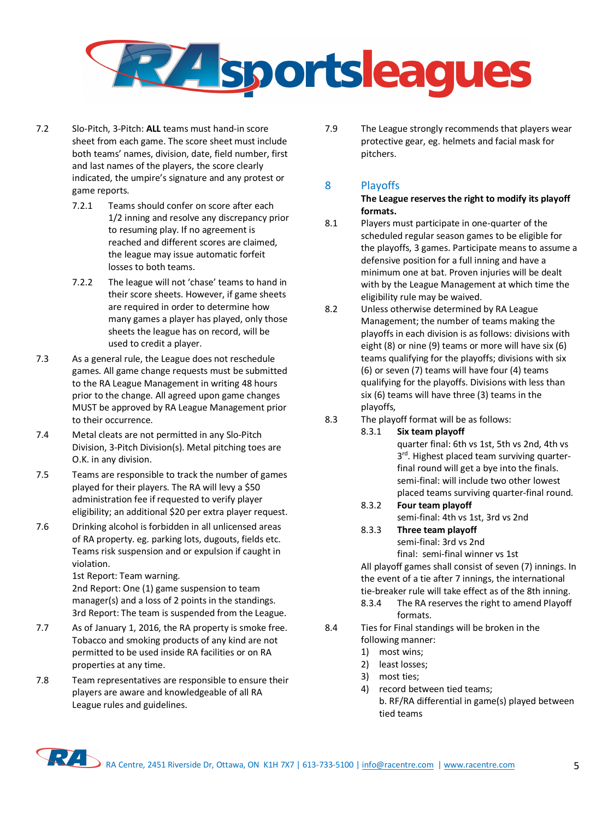

- 7.2 Slo-Pitch, 3-Pitch: **ALL** teams must hand-in score sheet from each game. The score sheet must include both teams' names, division, date, field number, first and last names of the players, the score clearly indicated, the umpire's signature and any protest or game reports.
	- 7.2.1 Teams should confer on score after each 1/2 inning and resolve any discrepancy prior to resuming play. If no agreement is reached and different scores are claimed, the league may issue automatic forfeit losses to both teams.
	- 7.2.2 The league will not 'chase' teams to hand in their score sheets. However, if game sheets are required in order to determine how many games a player has played, only those sheets the league has on record, will be used to credit a player.
- 7.3 As a general rule, the League does not reschedule games. All game change requests must be submitted to the RA League Management in writing 48 hours prior to the change. All agreed upon game changes MUST be approved by RA League Management prior to their occurrence.
- 7.4 Metal cleats are not permitted in any Slo-Pitch Division, 3-Pitch Division(s). Metal pitching toes are O.K. in any division.
- 7.5 Teams are responsible to track the number of games played for their players. The RA will levy a \$50 administration fee if requested to verify player eligibility; an additional \$20 per extra player request.
- 7.6 Drinking alcohol is forbidden in all unlicensed areas of RA property. eg. parking lots, dugouts, fields etc. Teams risk suspension and or expulsion if caught in violation.

1st Report: Team warning.

2nd Report: One (1) game suspension to team manager(s) and a loss of 2 points in the standings. 3rd Report: The team is suspended from the League.

- 7.7 As of January 1, 2016, the RA property is smoke free. Tobacco and smoking products of any kind are not permitted to be used inside RA facilities or on RA properties at any time.
- 7.8 Team representatives are responsible to ensure their players are aware and knowledgeable of all RA League rules and guidelines.

7.9 The League strongly recommends that players wear protective gear, eg. helmets and facial mask for pitchers.

## 8 Playoffs

**The League reserves the right to modify its playoff formats.**

- 8.1 Players must participate in one-quarter of the scheduled regular season games to be eligible for the playoffs, 3 games. Participate means to assume a defensive position for a full inning and have a minimum one at bat. Proven injuries will be dealt with by the League Management at which time the eligibility rule may be waived.
- 8.2 Unless otherwise determined by RA League Management; the number of teams making the playoffs in each division is as follows: divisions with eight (8) or nine (9) teams or more will have six (6) teams qualifying for the playoffs; divisions with six (6) or seven (7) teams will have four (4) teams qualifying for the playoffs. Divisions with less than six (6) teams will have three (3) teams in the playoffs,
- 8.3 The playoff format will be as follows:
	- 8.3.1 **Six team playoff**

quarter final: 6th vs 1st, 5th vs 2nd, 4th vs 3<sup>rd</sup>. Highest placed team surviving quarterfinal round will get a bye into the finals. semi-final: will include two other lowest placed teams surviving quarter-final round.

8.3.2 **Four team playoff** 

semi-final: 4th vs 1st, 3rd vs 2nd

8.3.3 **Three team playoff**  semi-final: 3rd vs 2nd

final: semi-final winner vs 1st All playoff games shall consist of seven (7) innings. In the event of a tie after 7 innings, the international tie-breaker rule will take effect as of the 8th inning.

- 8.3.4 The RA reserves the right to amend Playoff formats.
- 8.4 Ties for Final standings will be broken in the following manner:
	- 1) most wins;
	- 2) least losses;
	- 3) most ties;
	- 4) record between tied teams; b. RF/RA differential in game(s) played between tied teams

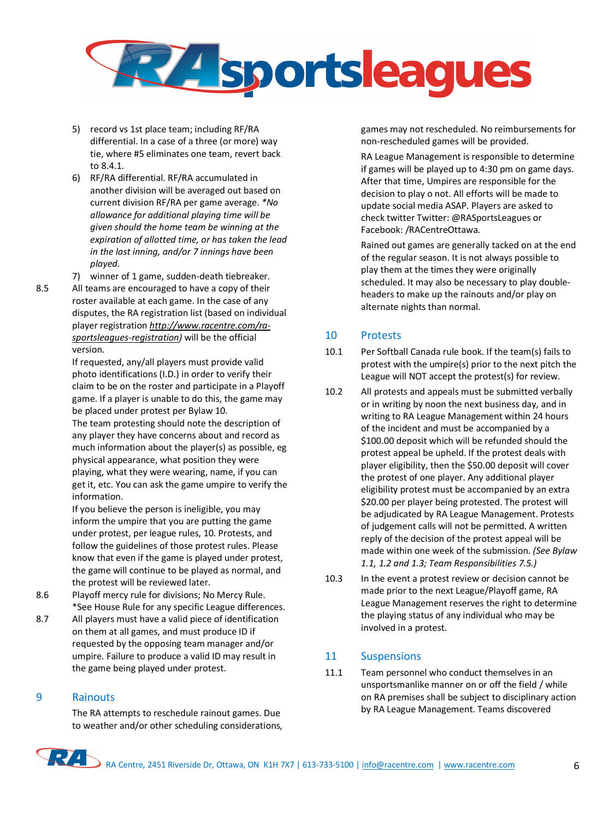

- 5) record vs 1st place team; including RF/RA differential. In a case of a three (or more) way tie, where #5 eliminates one team, revert back to 8.4.1.
- 6) RF/RA differential. RF/RA accumulated in another division will be averaged out based on current division RF/RA per game average. *\*No allowance for additional playing time will be given should the home team be winning at the expiration of allotted time, or has taken the lead in the last inning, and/or 7 innings have been played.*
- 7) winner of 1 game, sudden-death tiebreaker.
- 8.5 All teams are encouraged to have a copy of their roster available at each game. In the case of any disputes, the RA registration list (based on individual player registration *http://www.racentre.com/rasportsleagues-registration)* will be the official version.

If requested, any/all players must provide valid photo identifications (I.D.) in order to verify their claim to be on the roster and participate in a Playoff game. If a player is unable to do this, the game may be placed under protest per Bylaw 10.

The team protesting should note the description of any player they have concerns about and record as much information about the player(s) as possible, eg physical appearance, what position they were playing, what they were wearing, name, if you can get it, etc. You can ask the game umpire to verify the information.

If you believe the person is ineligible, you may inform the umpire that you are putting the game under protest, per league rules, 10. Protests, and follow the guidelines of those protest rules. Please know that even if the game is played under protest, the game will continue to be played as normal, and the protest will be reviewed later.

- 8.6 Playoff mercy rule for divisions; No Mercy Rule. \*See House Rule for any specific League differences.
- 8.7 All players must have a valid piece of identification on them at all games, and must produce ID if requested by the opposing team manager and/or umpire. Failure to produce a valid ID may result in the game being played under protest.

#### 9 Rainouts

The RA attempts to reschedule rainout games. Due to weather and/or other scheduling considerations, games may not rescheduled. No reimbursements for non-rescheduled games will be provided.

RA League Management is responsible to determine if games will be played up to 4:30 pm on game days. After that time, Umpires are responsible for the decision to play o not. All efforts will be made to update social media ASAP. Players are asked to check twitter Twitter: @RASportsLeagues or Facebook: /RACentreOttawa.

Rained out games are generally tacked on at the end of the regular season. It is not always possible to play them at the times they were originally scheduled. It may also be necessary to play doubleheaders to make up the rainouts and/or play on alternate nights than normal.

#### 10 Protests

- 10.1 Per Softball Canada rule book. If the team(s) fails to protest with the umpire(s) prior to the next pitch the League will NOT accept the protest(s) for review.
- 10.2 All protests and appeals must be submitted verbally or in writing by noon the next business day, and in writing to RA League Management within 24 hours of the incident and must be accompanied by a \$100.00 deposit which will be refunded should the protest appeal be upheld. If the protest deals with player eligibility, then the \$50.00 deposit will cover the protest of one player. Any additional player eligibility protest must be accompanied by an extra \$20.00 per player being protested. The protest will be adjudicated by RA League Management. Protests of judgement calls will not be permitted. A written reply of the decision of the protest appeal will be made within one week of the submission. *(See Bylaw 1.1, 1.2 and 1.3; Team Responsibilities 7.5.)*
- 10.3 In the event a protest review or decision cannot be made prior to the next League/Playoff game, RA League Management reserves the right to determine the playing status of any individual who may be involved in a protest.

#### 11 Suspensions

11.1 Team personnel who conduct themselves in an unsportsmanlike manner on or off the field / while on RA premises shall be subject to disciplinary action by RA League Management. Teams discovered

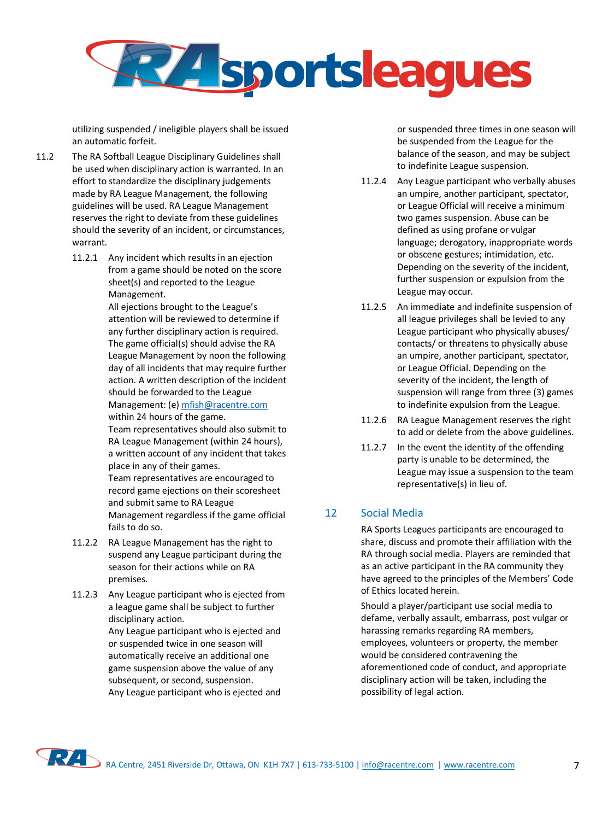

utilizing suspended / ineligible players shall be issued an automatic forfeit.

- 11.2 The RA Softball League Disciplinary Guidelines shall be used when disciplinary action is warranted. In an effort to standardize the disciplinary judgements made by RA League Management, the following guidelines will be used. RA League Management reserves the right to deviate from these guidelines should the severity of an incident, or circumstances, warrant.
	- 11.2.1 Any incident which results in an ejection from a game should be noted on the score sheet(s) and reported to the League Management.

All ejections brought to the League's attention will be reviewed to determine if any further disciplinary action is required. The game official(s) should advise the RA League Management by noon the following day of all incidents that may require further action. A written description of the incident should be forwarded to the League Management: (e) mfish@racentre.com

within 24 hours of the game.

Team representatives should also submit to RA League Management (within 24 hours), a written account of any incident that takes place in any of their games.

Team representatives are encouraged to record game ejections on their scoresheet and submit same to RA League Management regardless if the game official fails to do so.

- 11.2.2 RA League Management has the right to suspend any League participant during the season for their actions while on RA premises.
- 11.2.3 Any League participant who is ejected from a league game shall be subject to further disciplinary action.

Any League participant who is ejected and or suspended twice in one season will automatically receive an additional one game suspension above the value of any subsequent, or second, suspension. Any League participant who is ejected and or suspended three times in one season will be suspended from the League for the balance of the season, and may be subject to indefinite League suspension.

- 11.2.4 Any League participant who verbally abuses an umpire, another participant, spectator, or League Official will receive a minimum two games suspension. Abuse can be defined as using profane or vulgar language; derogatory, inappropriate words or obscene gestures; intimidation, etc. Depending on the severity of the incident, further suspension or expulsion from the League may occur.
- 11.2.5 An immediate and indefinite suspension of all league privileges shall be levied to any League participant who physically abuses/ contacts/ or threatens to physically abuse an umpire, another participant, spectator, or League Official. Depending on the severity of the incident, the length of suspension will range from three (3) games to indefinite expulsion from the League.
- 11.2.6 RA League Management reserves the right to add or delete from the above guidelines.
- 11.2.7 In the event the identity of the offending party is unable to be determined, the League may issue a suspension to the team representative(s) in lieu of.

### 12 Social Media

RA Sports Leagues participants are encouraged to share, discuss and promote their affiliation with the RA through social media. Players are reminded that as an active participant in the RA community they have agreed to the principles of the Members' Code of Ethics located herein.

Should a player/participant use social media to defame, verbally assault, embarrass, post vulgar or harassing remarks regarding RA members, employees, volunteers or property, the member would be considered contravening the aforementioned code of conduct, and appropriate disciplinary action will be taken, including the possibility of legal action.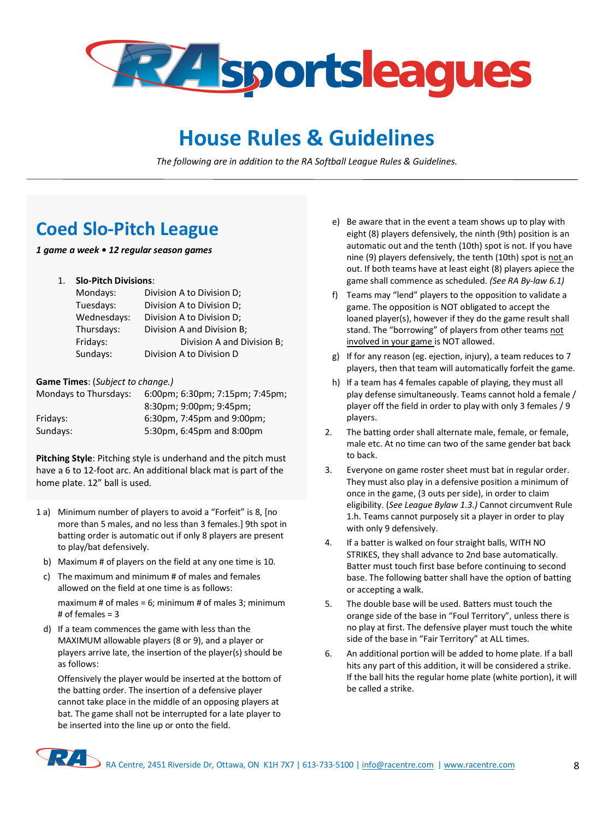

## **House Rules & Guidelines**

*The following are in addition to the RA Softball League Rules & Guidelines.*

## **Coed Slo-Pitch League**

*1 game a week • 12 regular season games* 

1. **Slo-Pitch Divisions**:

| Mondays:    | Division A to Division D;  |
|-------------|----------------------------|
| Tuesdays:   | Division A to Division D;  |
| Wednesdays: | Division A to Division D;  |
| Thursdays:  | Division A and Division B; |
| Fridays:    | Division A and Division B; |
| Sundays:    | Division A to Division D   |

**Game Times**: (*Subject to change.)* 

| Mondays to Thursdays: | 6:00pm; 6:30pm; 7:15pm; 7:45pm; |
|-----------------------|---------------------------------|
|                       | 8:30pm; 9:00pm; 9:45pm;         |
| Fridays:              | 6:30pm, 7:45pm and 9:00pm;      |
| Sundays:              | 5:30pm, 6:45pm and 8:00pm       |
|                       |                                 |

**Pitching Style**: Pitching style is underhand and the pitch must have a 6 to 12-foot arc. An additional black mat is part of the home plate. 12" ball is used.

- 1 a) Minimum number of players to avoid a "Forfeit" is 8, [no more than 5 males, and no less than 3 females.] 9th spot in batting order is automatic out if only 8 players are present to play/bat defensively.
	- b) Maximum # of players on the field at any one time is 10.
- c) The maximum and minimum # of males and females allowed on the field at one time is as follows: maximum # of males =  $6$ ; minimum # of males 3; minimum # of females = 3
- d) If a team commences the game with less than the MAXIMUM allowable players (8 or 9), and a player or players arrive late, the insertion of the player(s) should be as follows:

Offensively the player would be inserted at the bottom of the batting order. The insertion of a defensive player cannot take place in the middle of an opposing players at bat. The game shall not be interrupted for a late player to be inserted into the line up or onto the field.

- e) Be aware that in the event a team shows up to play with eight (8) players defensively, the ninth (9th) position is an automatic out and the tenth (10th) spot is not. If you have nine (9) players defensively, the tenth (10th) spot is not an out. If both teams have at least eight (8) players apiece the game shall commence as scheduled. *(See RA By-law 6.1)*
- f) Teams may "lend" players to the opposition to validate a game. The opposition is NOT obligated to accept the loaned player(s), however if they do the game result shall stand. The "borrowing" of players from other teams not involved in your game is NOT allowed.
- g) If for any reason (eg. ejection, injury), a team reduces to 7 players, then that team will automatically forfeit the game.
- h) If a team has 4 females capable of playing, they must all play defense simultaneously. Teams cannot hold a female / player off the field in order to play with only 3 females / 9 players.
- 2. The batting order shall alternate male, female, or female, male etc. At no time can two of the same gender bat back to back.
- 3. Everyone on game roster sheet must bat in regular order. They must also play in a defensive position a minimum of once in the game, (3 outs per side), in order to claim eligibility. (*See League Bylaw 1.3.)* Cannot circumvent Rule 1.h. Teams cannot purposely sit a player in order to play with only 9 defensively.
- 4. If a batter is walked on four straight balls, WITH NO STRIKES, they shall advance to 2nd base automatically. Batter must touch first base before continuing to second base. The following batter shall have the option of batting or accepting a walk.
- 5. The double base will be used. Batters must touch the orange side of the base in "Foul Territory", unless there is no play at first. The defensive player must touch the white side of the base in "Fair Territory" at ALL times.
- 6. An additional portion will be added to home plate. If a ball hits any part of this addition, it will be considered a strike. If the ball hits the regular home plate (white portion), it will be called a strike.

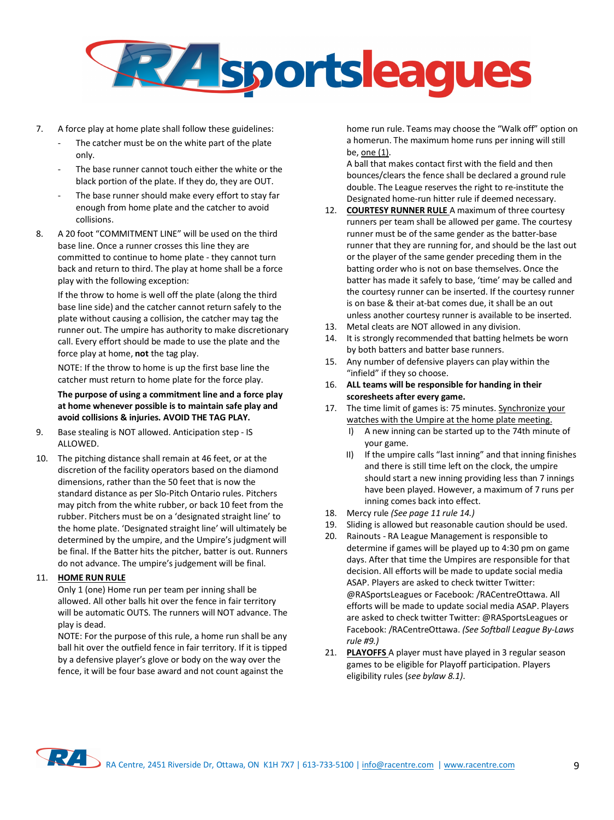

- 7. A force play at home plate shall follow these guidelines:
	- The catcher must be on the white part of the plate only.
	- The base runner cannot touch either the white or the black portion of the plate. If they do, they are OUT.
	- The base runner should make every effort to stay far enough from home plate and the catcher to avoid collisions.
- 8. A 20 foot "COMMITMENT LINE" will be used on the third base line. Once a runner crosses this line they are committed to continue to home plate - they cannot turn back and return to third. The play at home shall be a force play with the following exception:

If the throw to home is well off the plate (along the third base line side) and the catcher cannot return safely to the plate without causing a collision, the catcher may tag the runner out. The umpire has authority to make discretionary call. Every effort should be made to use the plate and the force play at home, **not** the tag play.

NOTE: If the throw to home is up the first base line the catcher must return to home plate for the force play.

**The purpose of using a commitment line and a force play at home whenever possible is to maintain safe play and avoid collisions & injuries. AVOID THE TAG PLAY.**

- 9. Base stealing is NOT allowed. Anticipation step IS ALLOWED.
- 10. The pitching distance shall remain at 46 feet, or at the discretion of the facility operators based on the diamond dimensions, rather than the 50 feet that is now the standard distance as per Slo-Pitch Ontario rules. Pitchers may pitch from the white rubber, or back 10 feet from the rubber. Pitchers must be on a 'designated straight line' to the home plate. 'Designated straight line' will ultimately be determined by the umpire, and the Umpire's judgment will be final. If the Batter hits the pitcher, batter is out. Runners do not advance. The umpire's judgement will be final.

#### 11. **HOME RUN RULE**

Only 1 (one) Home run per team per inning shall be allowed. All other balls hit over the fence in fair territory will be automatic OUTS. The runners will NOT advance. The play is dead.

NOTE: For the purpose of this rule, a home run shall be any ball hit over the outfield fence in fair territory. If it is tipped by a defensive player's glove or body on the way over the fence, it will be four base award and not count against the

home run rule. Teams may choose the "Walk off" option on a homerun. The maximum home runs per inning will still be, one (1).

A ball that makes contact first with the field and then bounces/clears the fence shall be declared a ground rule double. The League reserves the right to re-institute the Designated home-run hitter rule if deemed necessary.

- 12. **COURTESY RUNNER RULE** A maximum of three courtesy runners per team shall be allowed per game. The courtesy runner must be of the same gender as the batter-base runner that they are running for, and should be the last out or the player of the same gender preceding them in the batting order who is not on base themselves. Once the batter has made it safely to base, 'time' may be called and the courtesy runner can be inserted. If the courtesy runner is on base & their at-bat comes due, it shall be an out unless another courtesy runner is available to be inserted.
- 13. Metal cleats are NOT allowed in any division.
- 14. It is strongly recommended that batting helmets be worn by both batters and batter base runners.
- 15. Any number of defensive players can play within the "infield" if they so choose.
- 16. **ALL teams will be responsible for handing in their scoresheets after every game.**
- 17. The time limit of games is: 75 minutes. Synchronize your watches with the Umpire at the home plate meeting.
	- I) A new inning can be started up to the 74th minute of your game.
	- II) If the umpire calls "last inning" and that inning finishes and there is still time left on the clock, the umpire should start a new inning providing less than 7 innings have been played. However, a maximum of 7 runs per inning comes back into effect.
- 18. Mercy rule *(See page 11 rule 14.)*
- 19. Sliding is allowed but reasonable caution should be used.
- 20. Rainouts RA League Management is responsible to determine if games will be played up to 4:30 pm on game days. After that time the Umpires are responsible for that decision. All efforts will be made to update social media ASAP. Players are asked to check twitter Twitter: @RASportsLeagues or Facebook: /RACentreOttawa. All efforts will be made to update social media ASAP. Players are asked to check twitter Twitter: @RASportsLeagues or Facebook: /RACentreOttawa. *(See Softball League By-Laws rule #9.)*
- 21. **PLAYOFFS** A player must have played in 3 regular season games to be eligible for Playoff participation. Players eligibility rules (*see bylaw 8.1)*.

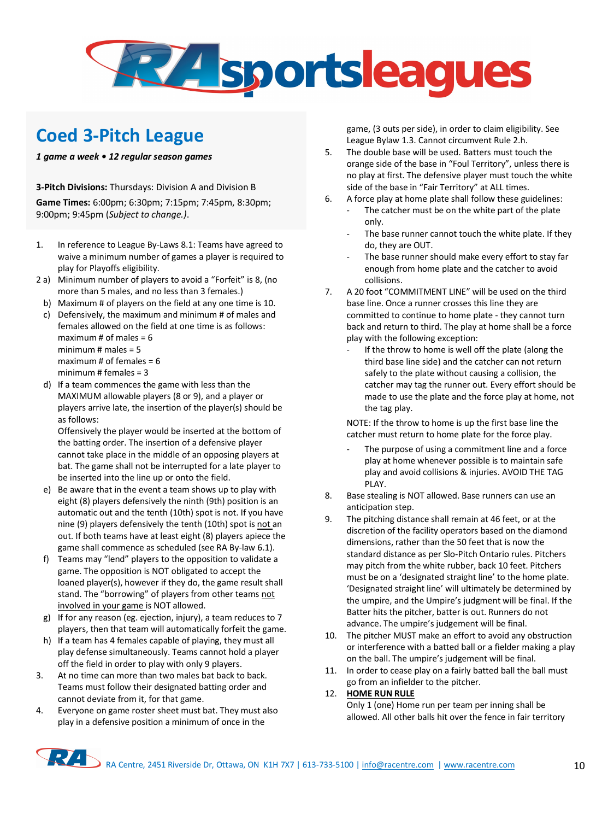

## **Coed 3-Pitch League**

*1 game a week • 12 regular season games* 

**3-Pitch Divisions:** Thursdays: Division A and Division B **Game Times:** 6:00pm; 6:30pm; 7:15pm; 7:45pm, 8:30pm; 9:00pm; 9:45pm (*Subject to change.)*.

- 1. In reference to League By-Laws 8.1: Teams have agreed to waive a minimum number of games a player is required to play for Playoffs eligibility.
- 2 a) Minimum number of players to avoid a "Forfeit" is 8, (no more than 5 males, and no less than 3 females.)
- b) Maximum # of players on the field at any one time is 10.
- c) Defensively, the maximum and minimum # of males and females allowed on the field at one time is as follows: maximum  $\#$  of males = 6 minimum  $\#$  males = 5 maximum  $#$  of females = 6 minimum  $#$  females = 3
- d) If a team commences the game with less than the MAXIMUM allowable players (8 or 9), and a player or players arrive late, the insertion of the player(s) should be as follows:

Offensively the player would be inserted at the bottom of the batting order. The insertion of a defensive player cannot take place in the middle of an opposing players at bat. The game shall not be interrupted for a late player to be inserted into the line up or onto the field.

- e) Be aware that in the event a team shows up to play with eight (8) players defensively the ninth (9th) position is an automatic out and the tenth (10th) spot is not. If you have nine (9) players defensively the tenth (10th) spot is not an out. If both teams have at least eight (8) players apiece the game shall commence as scheduled (see RA By-law 6.1).
- f) Teams may "lend" players to the opposition to validate a game. The opposition is NOT obligated to accept the loaned player(s), however if they do, the game result shall stand. The "borrowing" of players from other teams not involved in your game is NOT allowed.
- g) If for any reason (eg. ejection, injury), a team reduces to 7 players, then that team will automatically forfeit the game.
- h) If a team has 4 females capable of playing, they must all play defense simultaneously. Teams cannot hold a player off the field in order to play with only 9 players.
- 3. At no time can more than two males bat back to back. Teams must follow their designated batting order and cannot deviate from it, for that game.
- 4. Everyone on game roster sheet must bat. They must also play in a defensive position a minimum of once in the

game, (3 outs per side), in order to claim eligibility. See League Bylaw 1.3. Cannot circumvent Rule 2.h.

- 5. The double base will be used. Batters must touch the orange side of the base in "Foul Territory", unless there is no play at first. The defensive player must touch the white side of the base in "Fair Territory" at ALL times.
- 6. A force play at home plate shall follow these guidelines:
	- The catcher must be on the white part of the plate only.
	- The base runner cannot touch the white plate. If they do, they are OUT.
	- The base runner should make every effort to stay far enough from home plate and the catcher to avoid collisions.
- 7. A 20 foot "COMMITMENT LINE" will be used on the third base line. Once a runner crosses this line they are committed to continue to home plate - they cannot turn back and return to third. The play at home shall be a force play with the following exception:
	- If the throw to home is well off the plate (along the third base line side) and the catcher can not return safely to the plate without causing a collision, the catcher may tag the runner out. Every effort should be made to use the plate and the force play at home, not the tag play.

NOTE: If the throw to home is up the first base line the catcher must return to home plate for the force play.

- The purpose of using a commitment line and a force play at home whenever possible is to maintain safe play and avoid collisions & injuries. AVOID THE TAG PLAY.
- 8. Base stealing is NOT allowed. Base runners can use an anticipation step.
- 9. The pitching distance shall remain at 46 feet, or at the discretion of the facility operators based on the diamond dimensions, rather than the 50 feet that is now the standard distance as per Slo-Pitch Ontario rules. Pitchers may pitch from the white rubber, back 10 feet. Pitchers must be on a 'designated straight line' to the home plate. 'Designated straight line' will ultimately be determined by the umpire, and the Umpire's judgment will be final. If the Batter hits the pitcher, batter is out. Runners do not advance. The umpire's judgement will be final.
- 10. The pitcher MUST make an effort to avoid any obstruction or interference with a batted ball or a fielder making a play on the ball. The umpire's judgement will be final.
- 11. In order to cease play on a fairly batted ball the ball must go from an infielder to the pitcher.

#### 12. **HOME RUN RULE**

Only 1 (one) Home run per team per inning shall be allowed. All other balls hit over the fence in fair territory